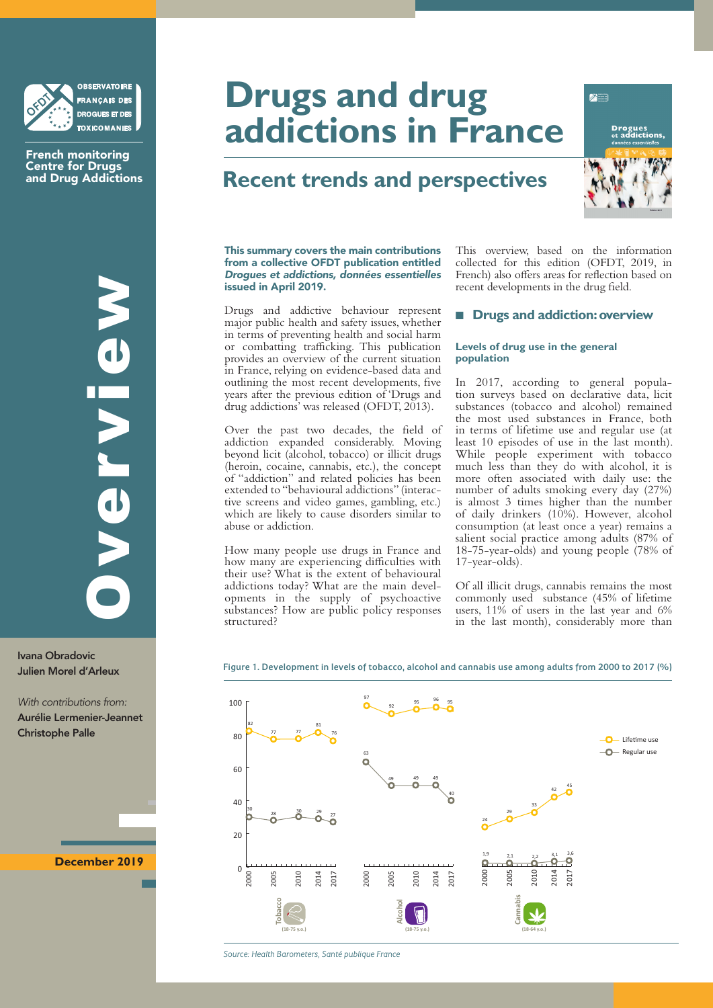

French monitoring Centre for Drugs and Drug Addictions

Ivana Obradovic Julien Morel d'Arleux

*With contributions from:*  Aurélie Lermenier-Jeannet Christophe Palle

**December 2019**

# **Drugs and drug addictions in France**

# **Recent trends and perspectives**



This summary covers the main contributions from a collective OFDT publication entitled *Drogues et addictions, données essentielles* issued in April 2019.

Drugs and addictive behaviour represent major public health and safety issues, whether in terms of preventing health and social harm or combatting trafficking. This publication provides an overview of the current situation in France, relying on evidence-based data and outlining the most recent developments, five years after the previous edition of 'Drugs and drug addictions' was released (OFDT, 2013).

Over the past two decades, the field of addiction expanded considerably. Moving beyond licit (alcohol, tobacco) or illicit drugs (heroin, cocaine, cannabis, etc.), the concept of "addiction" and related policies has been extended to "behavioural addictions" (interactive screens and video games, gambling, etc.) which are likely to cause disorders similar to abuse or addiction.

How many people use drugs in France and how many are experiencing difficulties with their use? What is the extent of behavioural addictions today? What are the main developments in the supply of psychoactive substances? How are public policy responses structured?

This overview, based on the information collected for this edition (OFDT, 2019, in French) also offers areas for reflection based on recent developments in the drug field.

# **E** Drugs and addiction: overview

# **Levels of drug use in the general population**

In 2017, according to general population surveys based on declarative data, licit substances (tobacco and alcohol) remained the most used substances in France, both in terms of lifetime use and regular use (at least 10 episodes of use in the last month). While people experiment with tobacco much less than they do with alcohol, it is more often associated with daily use: the number of adults smoking every day (27%) is almost 3 times higher than the number of daily drinkers (10%). However, alcohol consumption (at least once a year) remains a salient social practice among adults (87% of 18-75-year-olds) and young people (78% of 17-year-olds).

Of all illicit drugs, cannabis remains the most commonly used substance (45% of lifetime users, 11% of users in the last year and 6% in the last month), considerably more than

Figure 1. Development in levels of tobacco, alcohol and cannabis use among adults from 2000 to 2017 (%)



*Source: Health Barometers, Santé publique France*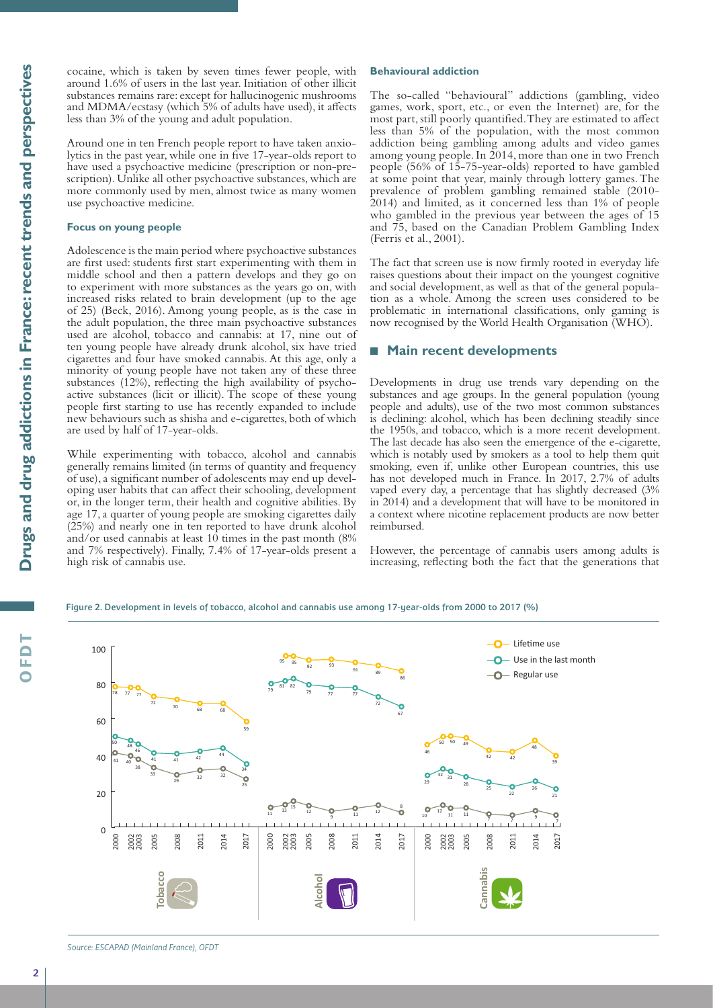cocaine, which is taken by seven times fewer people, with around 1.6% of users in the last year. Initiation of other illicit substances remains rare: except for hallucinogenic mushrooms and MDMA/ecstasy (which 5% of adults have used), it affects less than 3% of the young and adult population.

Around one in ten French people report to have taken anxiolytics in the past year, while one in five 17-year-olds report to have used a psychoactive medicine (prescription or non-prescription). Unlike all other psychoactive substances, which are more commonly used by men, almost twice as many women use psychoactive medicine.

#### **Focus on young people**

Adolescence is the main period where psychoactive substances are first used: students first start experimenting with them in middle school and then a pattern develops and they go on to experiment with more substances as the years go on, with increased risks related to brain development (up to the age of 25) (Beck, 2016). Among young people, as is the case in the adult population, the three main psychoactive substances used are alcohol, tobacco and cannabis: at 17, nine out of ten young people have already drunk alcohol, six have tried cigarettes and four have smoked cannabis. At this age, only a minority of young people have not taken any of these three substances (12%), reflecting the high availability of psychoactive substances (licit or illicit). The scope of these young people first starting to use has recently expanded to include new behaviours such as shisha and e-cigarettes, both of which are used by half of 17-year-olds.

While experimenting with tobacco, alcohol and cannabis generally remains limited (in terms of quantity and frequency of use), a significant number of adolescents may end up developing user habits that can affect their schooling, development or, in the longer term, their health and cognitive abilities. By age 17, a quarter of young people are smoking cigarettes daily (25%) and nearly one in ten reported to have drunk alcohol and/or used cannabis at least  $10$  times in the past month  $(8\%$ and 7% respectively). Finally, 7.4% of 17-year-olds present a high risk of cannabis use.

# **Behavioural addiction**

The so-called "behavioural" addictions (gambling, video games, work, sport, etc., or even the Internet) are, for the most part, still poorly quantified. They are estimated to affect less than 5% of the population, with the most common addiction being gambling among adults and video games among young people. In 2014, more than one in two French people (56% of 15-75-year-olds) reported to have gambled at some point that year, mainly through lottery games. The prevalence of problem gambling remained stable (2010- 2014) and limited, as it concerned less than 1% of people who gambled in the previous year between the ages of 15 and 75, based on the Canadian Problem Gambling Index (Ferris et al., 2001).

The fact that screen use is now firmly rooted in everyday life raises questions about their impact on the youngest cognitive and social development, as well as that of the general population as a whole. Among the screen uses considered to be problematic in international classifications, only gaming is now recognised by the World Health Organisation (WHO).

# ■ Main recent developments

Developments in drug use trends vary depending on the substances and age groups. In the general population (young people and adults), use of the two most common substances is declining: alcohol, which has been declining steadily since the 1950s, and tobacco, which is a more recent development. The last decade has also seen the emergence of the e-cigarette, which is notably used by smokers as a tool to help them quit smoking, even if, unlike other European countries, this use has not developed much in France. In 2017, 2.7% of adults vaped every day, a percentage that has slightly decreased (3% in 2014) and a development that will have to be monitored in a context where nicotine replacement products are now better reimbursed.

However, the percentage of cannabis users among adults is increasing, reflecting both the fact that the generations that

Figure 2. Development in levels of tobacco, alcohol and cannabis use among 17-year-olds from 2000 to 2017 (%)



*Source: ESCAPAD (Mainland France), OFDT*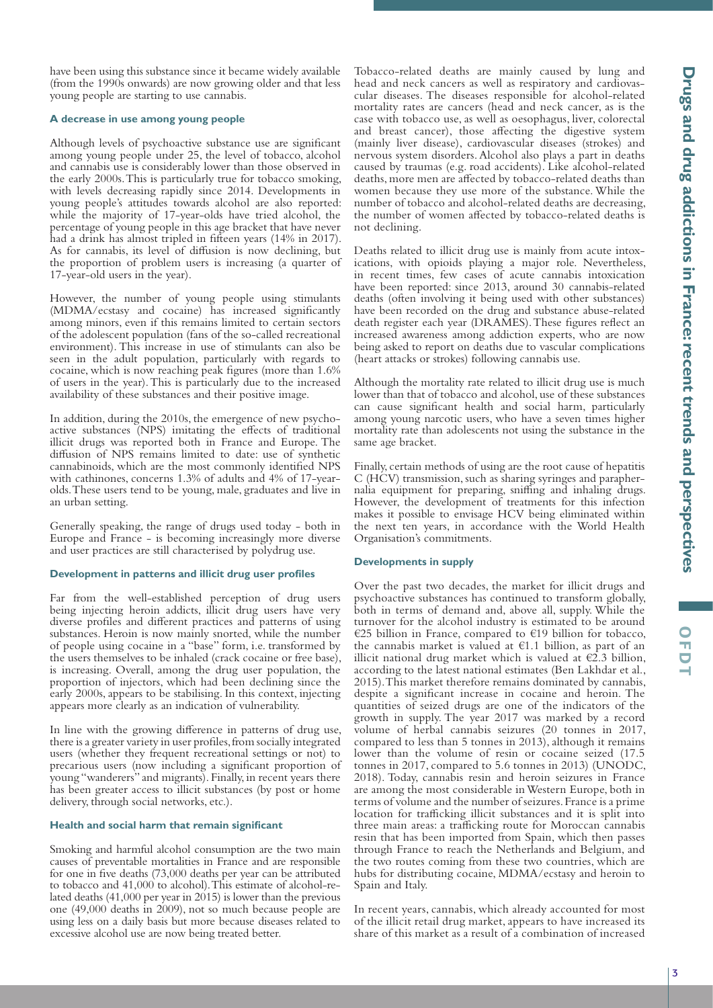have been using this substance since it became widely available (from the 1990s onwards) are now growing older and that less young people are starting to use cannabis.

#### **A decrease in use among young people**

Although levels of psychoactive substance use are significant among young people under 25, the level of tobacco, alcohol and cannabis use is considerably lower than those observed in the early 2000s. This is particularly true for tobacco smoking, with levels decreasing rapidly since 2014. Developments in young people's attitudes towards alcohol are also reported: while the majority of 17-year-olds have tried alcohol, the percentage of young people in this age bracket that have never had a drink has almost tripled in fifteen years (14% in 2017). As for cannabis, its level of diffusion is now declining, but the proportion of problem users is increasing (a quarter of 17-year-old users in the year).

However, the number of young people using stimulants (MDMA/ecstasy and cocaine) has increased significantly among minors, even if this remains limited to certain sectors of the adolescent population (fans of the so-called recreational environment). This increase in use of stimulants can also be seen in the adult population, particularly with regards to cocaine, which is now reaching peak figures (more than 1.6% of users in the year). This is particularly due to the increased availability of these substances and their positive image.

In addition, during the 2010s, the emergence of new psychoactive substances (NPS) imitating the effects of traditional illicit drugs was reported both in France and Europe. The diffusion of NPS remains limited to date: use of synthetic cannabinoids, which are the most commonly identified NPS with cathinones, concerns 1.3% of adults and 4% of 17-yearolds. These users tend to be young, male, graduates and live in an urban setting.

Generally speaking, the range of drugs used today - both in Europe and France - is becoming increasingly more diverse and user practices are still characterised by polydrug use.

# **Development in patterns and illicit drug user profiles**

Far from the well-established perception of drug users being injecting heroin addicts, illicit drug users have very diverse profiles and different practices and patterns of using substances. Heroin is now mainly snorted, while the number of people using cocaine in a "base" form, i.e. transformed by the users themselves to be inhaled (crack cocaine or free base), is increasing. Overall, among the drug user population, the proportion of injectors, which had been declining since the early 2000s, appears to be stabilising. In this context, injecting appears more clearly as an indication of vulnerability.

In line with the growing difference in patterns of drug use, there is a greater variety in user profiles, from socially integrated users (whether they frequent recreational settings or not) to precarious users (now including a significant proportion of young "wanderers" and migrants). Finally, in recent years there has been greater access to illicit substances (by post or home delivery, through social networks, etc.).

#### **Health and social harm that remain significant**

Smoking and harmful alcohol consumption are the two main causes of preventable mortalities in France and are responsible for one in five deaths (73,000 deaths per year can be attributed to tobacco and 41,000 to alcohol). This estimate of alcohol-related deaths (41,000 per year in 2015) is lower than the previous one (49,000 deaths in 2009), not so much because people are using less on a daily basis but more because diseases related to excessive alcohol use are now being treated better.

Tobacco-related deaths are mainly caused by lung and head and neck cancers as well as respiratory and cardiovascular diseases. The diseases responsible for alcohol-related mortality rates are cancers (head and neck cancer, as is the case with tobacco use, as well as oesophagus, liver, colorectal and breast cancer), those affecting the digestive system (mainly liver disease), cardiovascular diseases (strokes) and nervous system disorders. Alcohol also plays a part in deaths caused by traumas (e.g. road accidents). Like alcohol-related deaths, more men are affected by tobacco-related deaths than women because they use more of the substance. While the number of tobacco and alcohol-related deaths are decreasing, the number of women affected by tobacco-related deaths is not declining.

Deaths related to illicit drug use is mainly from acute intoxications, with opioids playing a major role. Nevertheless, in recent times, few cases of acute cannabis intoxication have been reported: since 2013, around 30 cannabis-related deaths (often involving it being used with other substances) have been recorded on the drug and substance abuse-related death register each year (DRAMES). These figures reflect an increased awareness among addiction experts, who are now being asked to report on deaths due to vascular complications (heart attacks or strokes) following cannabis use.

Although the mortality rate related to illicit drug use is much lower than that of tobacco and alcohol, use of these substances can cause significant health and social harm, particularly among young narcotic users, who have a seven times higher mortality rate than adolescents not using the substance in the same age bracket.

Finally, certain methods of using are the root cause of hepatitis C (HCV) transmission, such as sharing syringes and paraphernalia equipment for preparing, sniffing and inhaling drugs. However, the development of treatments for this infection makes it possible to envisage HCV being eliminated within the next ten years, in accordance with the World Health Organisation's commitments.

#### **Developments in supply**

Over the past two decades, the market for illicit drugs and psychoactive substances has continued to transform globally, both in terms of demand and, above all, supply. While the turnover for the alcohol industry is estimated to be around €25 billion in France, compared to €19 billion for tobacco, the cannabis market is valued at €1.1 billion, as part of an illicit national drug market which is valued at  $\epsilon$ 2.3 billion, according to the latest national estimates (Ben Lakhdar et al., 2015). This market therefore remains dominated by cannabis, despite a significant increase in cocaine and heroin. The quantities of seized drugs are one of the indicators of the growth in supply. The year 2017 was marked by a record volume of herbal cannabis seizures (20 tonnes in 2017, compared to less than 5 tonnes in 2013), although it remains lower than the volume of resin or cocaine seized (17.5 tonnes in 2017, compared to 5.6 tonnes in 2013) (UNODC, 2018). Today, cannabis resin and heroin seizures in France are among the most considerable in Western Europe, both in terms of volume and the number of seizures. France is a prime location for trafficking illicit substances and it is split into three main areas: a trafficking route for Moroccan cannabis resin that has been imported from Spain, which then passes through France to reach the Netherlands and Belgium, and the two routes coming from these two countries, which are hubs for distributing cocaine, MDMA/ecstasy and heroin to Spain and Italy.

In recent years, cannabis, which already accounted for most of the illicit retail drug market, appears to have increased its share of this market as a result of a combination of increased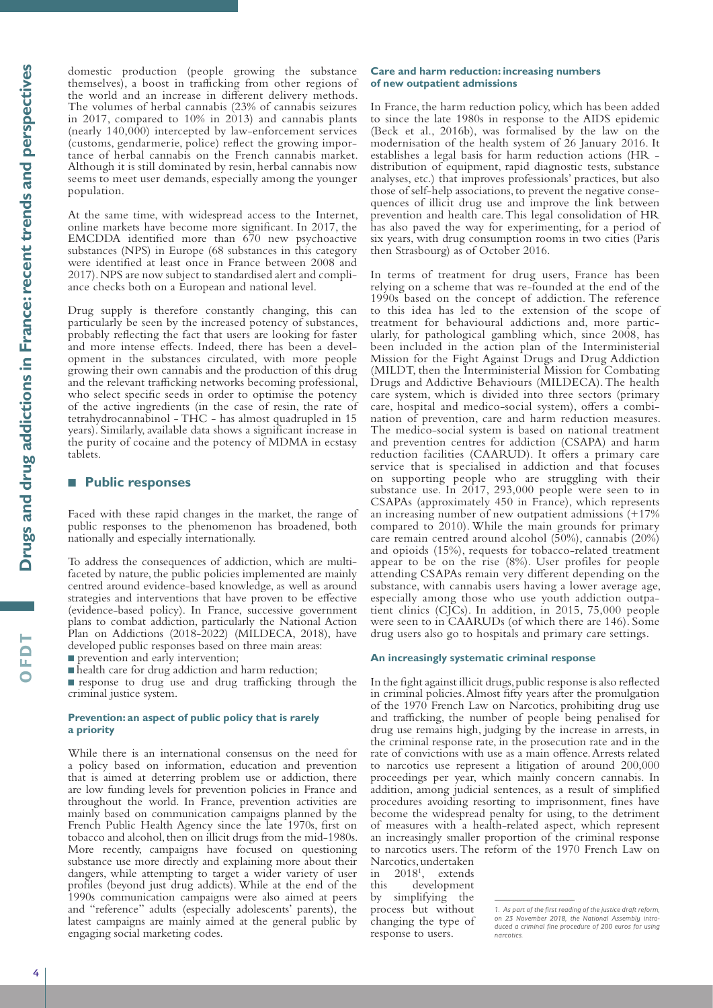**Drugs and drug addictions in France: recent trends and perspectives**  Drugs and drug addictions in France: recent trends and perspectives

**OFDT**

domestic production (people growing the substance themselves), a boost in trafficking from other regions of the world and an increase in different delivery methods. The volumes of herbal cannabis (23% of cannabis seizures in 2017, compared to 10% in 2013) and cannabis plants (nearly 140,000) intercepted by law-enforcement services (customs, gendarmerie, police) reflect the growing importance of herbal cannabis on the French cannabis market. Although it is still dominated by resin, herbal cannabis now seems to meet user demands, especially among the younger population.

At the same time, with widespread access to the Internet, online markets have become more significant. In 2017, the EMCDDA identified more than 670 new psychoactive substances (NPS) in Europe (68 substances in this category were identified at least once in France between 2008 and 2017). NPS are now subject to standardised alert and compliance checks both on a European and national level.

Drug supply is therefore constantly changing, this can particularly be seen by the increased potency of substances, probably reflecting the fact that users are looking for faster and more intense effects. Indeed, there has been a development in the substances circulated, with more people growing their own cannabis and the production of this drug and the relevant trafficking networks becoming professional, who select specific seeds in order to optimise the potency of the active ingredients (in the case of resin, the rate of tetrahydrocannabinol - THC - has almost quadrupled in 15 years). Similarly, available data shows a significant increase in the purity of cocaine and the potency of MDMA in ecstasy tablets.

# ■ Public responses

Faced with these rapid changes in the market, the range of public responses to the phenomenon has broadened, both nationally and especially internationally.

To address the consequences of addiction, which are multifaceted by nature, the public policies implemented are mainly centred around evidence-based knowledge, as well as around strategies and interventions that have proven to be effective (evidence-based policy). In France, successive government plans to combat addiction, particularly the National Action Plan on Addictions (2018-2022) (MILDECA, 2018), have developed public responses based on three main areas:

n prevention and early intervention;

 $\blacksquare$  health care for drug addiction and harm reduction;

nresponse to drug use and drug trafficking through the criminal justice system.

# **Prevention: an aspect of public policy that is rarely a priority**

While there is an international consensus on the need for a policy based on information, education and prevention that is aimed at deterring problem use or addiction, there are low funding levels for prevention policies in France and throughout the world. In France, prevention activities are mainly based on communication campaigns planned by the French Public Health Agency since the late 1970s, first on tobacco and alcohol, then on illicit drugs from the mid-1980s. More recently, campaigns have focused on questioning substance use more directly and explaining more about their dangers, while attempting to target a wider variety of user profiles (beyond just drug addicts). While at the end of the 1990s communication campaigns were also aimed at peers and "reference" adults (especially adolescents' parents), the latest campaigns are mainly aimed at the general public by engaging social marketing codes.

#### **Care and harm reduction: increasing numbers of new outpatient admissions**

In France, the harm reduction policy, which has been added to since the late 1980s in response to the AIDS epidemic (Beck et al., 2016b), was formalised by the law on the modernisation of the health system of 26 January 2016. It establishes a legal basis for harm reduction actions (HR distribution of equipment, rapid diagnostic tests, substance analyses, etc.) that improves professionals' practices, but also those of self-help associations, to prevent the negative consequences of illicit drug use and improve the link between prevention and health care. This legal consolidation of HR has also paved the way for experimenting, for a period of six years, with drug consumption rooms in two cities (Paris then Strasbourg) as of October 2016.

In terms of treatment for drug users, France has been relying on a scheme that was re-founded at the end of the 1990s based on the concept of addiction. The reference to this idea has led to the extension of the scope of treatment for behavioural addictions and, more particularly, for pathological gambling which, since 2008, has been included in the action plan of the Interministerial Mission for the Fight Against Drugs and Drug Addiction (MILDT, then the Interministerial Mission for Combating Drugs and Addictive Behaviours (MILDECA). The health care system, which is divided into three sectors (primary care, hospital and medico-social system), offers a combination of prevention, care and harm reduction measures. The medico-social system is based on national treatment and prevention centres for addiction (CSAPA) and harm reduction facilities (CAARUD). It offers a primary care service that is specialised in addiction and that focuses on supporting people who are struggling with their substance use. In 2017, 293,000 people were seen to in CSAPAs (approximately 450 in France), which represents an increasing number of new outpatient admissions (+17% compared to 2010). While the main grounds for primary care remain centred around alcohol (50%), cannabis (20%) and opioids (15%), requests for tobacco-related treatment appear to be on the rise (8%). User profiles for people attending CSAPAs remain very different depending on the substance, with cannabis users having a lower average age, especially among those who use youth addiction outpatient clinics (CJCs). In addition, in 2015, 75,000 people were seen to in CAARUDs (of which there are 146). Some drug users also go to hospitals and primary care settings.

#### **An increasingly systematic criminal response**

In the fight against illicit drugs, public response is also reflected in criminal policies. Almost fifty years after the promulgation of the 1970 French Law on Narcotics, prohibiting drug use and trafficking, the number of people being penalised for drug use remains high, judging by the increase in arrests, in the criminal response rate, in the prosecution rate and in the rate of convictions with use as a main offence. Arrests related to narcotics use represent a litigation of around 200,000 proceedings per year, which mainly concern cannabis. In addition, among judicial sentences, as a result of simplified procedures avoiding resorting to imprisonment, fines have become the widespread penalty for using, to the detriment of measures with a health-related aspect, which represent an increasingly smaller proportion of the criminal response to narcotics users. The reform of the 1970 French Law on

Narcotics, undertaken in 20181 , extends this development by simplifying the process but without changing the type of response to users.

*<sup>1.</sup> As part of the first reading of the justice draft reform, on 23 November 2018, the National Assembly introduced a criminal fine procedure of 200 euros for using narcotics.*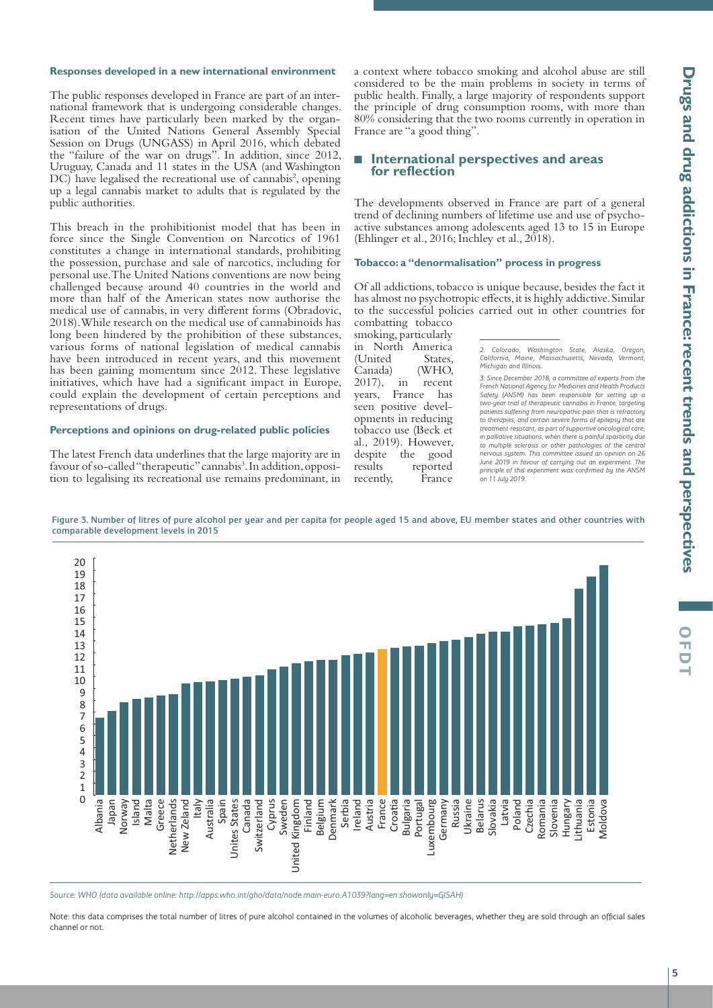**OFDT**

#### **Responses developed in a new international environment**

The public responses developed in France are part of an international framework that is undergoing considerable changes. Recent times have particularly been marked by the organisation of the United Nations General Assembly Special Session on Drugs (UNGASS) in April 2016, which debated the "failure of the war on drugs". In addition, since 2012, Uruguay, Canada and 11 states in the USA (and Washington DC) have legalised the recreational use of cannabis<sup>2</sup>, opening up a legal cannabis market to adults that is regulated by the public authorities.

This breach in the prohibitionist model that has been in force since the Single Convention on Narcotics of 1961 constitutes a change in international standards, prohibiting the possession, purchase and sale of narcotics, including for personal use. The United Nations conventions are now being challenged because around 40 countries in the world and more than half of the American states now authorise the medical use of cannabis, in very different forms (Obradovic, 2018). While research on the medical use of cannabinoids has long been hindered by the prohibition of these substances, various forms of national legislation of medical cannabis have been introduced in recent years, and this movement has been gaining momentum since 2012. These legislative initiatives, which have had a significant impact in Europe, could explain the development of certain perceptions and representations of drugs.

# **Perceptions and opinions on drug-related public policies**

The latest French data underlines that the large majority are in favour of so-called "therapeutic" cannabis<sup>3</sup>. In addition, opposition to legalising its recreational use remains predominant, in a context where tobacco smoking and alcohol abuse are still considered to be the main problems in society in terms of public health. Finally, a large majority of respondents support the principle of drug consumption rooms, with more than 80% considering that the two rooms currently in operation in France are "a good thing".

# Q **International perspectives and areas for reflection**

The developments observed in France are part of a general trend of declining numbers of lifetime use and use of psychoactive substances among adolescents aged 13 to 15 in Europe (Ehlinger et al., 2016; Inchley et al., 2018).

#### **Tobacco: a "denormalisation" process in progress**

Of all addictions, tobacco is unique because, besides the fact it has almost no psychotropic effects, it is highly addictive. Similar to the successful policies carried out in other countries for combatting tobacco

smoking, particularly in North America (United States, Canada) (WHO, 2017), in recent years, France has seen positive developments in reducing tobacco use (Beck et al., 2019). However, despite the good results reported recently, France

#### Figure 3. Number of litres of pure alcohol per year and per capita for people aged 15 and above, EU member states and other countries with comparable development levels in 2015



*Source: WHO (data available online: http://apps.who.int/gho/data/node.main-euro.A1039?lang=en showonly=GISAH)*

Note: this data comprises the total number of litres of pure alcohol contained in the volumes of alcoholic beverages, whether they are sold through an official sales channel or not.

*<sup>2.</sup> Colorado, Washington State, Alaska, Oregon, California, Maine, Massachusetts, Nevada, Vermont, Michigan and Illinois.*

*<sup>3.</sup> Since December 2018, a committee of experts from the French National Agency for Medicines and Health Products Safety (ANSM) has been responsible for setting up a two-year trial of therapeutic cannabis in France, targeting patients suffering from neuropathic pain that is refractory to therapies, and certain severe forms of epilepsy that are treatment-resistant, as part of supportive oncological care, in palliative situations, when there is painful spasticity due*  to multiple sclerosis or other pathologies of the central nervous system. This committee issued an opinion on 26 *June 2019 in favour of carrying out an experiment. The principle of this experiment was confirmed by the ANSM on 11 July 2019.*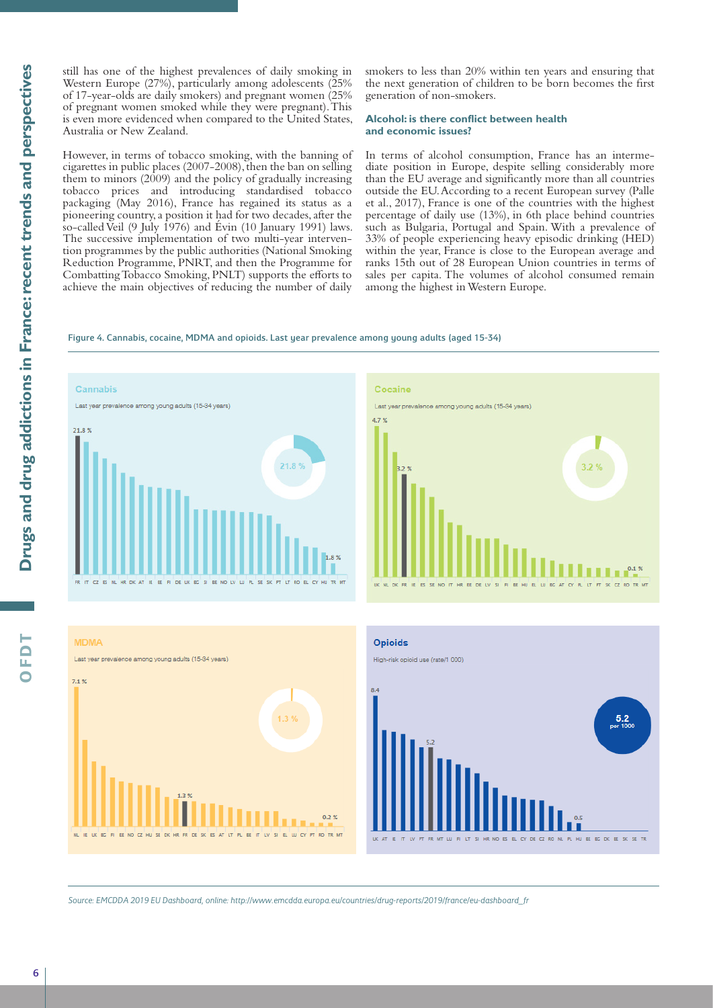still has one of the highest prevalences of daily smoking in Western Europe (27%), particularly among adolescents (25%) of 17-year-olds are daily smokers) and pregnant women (25% of pregnant women smoked while they were pregnant). This is even more evidenced when compared to the United States, Australia or New Zealand.

However, in terms of tobacco smoking, with the banning of cigarettes in public places (2007-2008), then the ban on selling them to minors (2009) and the policy of gradually increasing tobacco prices and introducing standardised tobacco packaging (May 2016), France has regained its status as a pioneering country, a position it had for two decades, after the so-called Veil (9 July 1976) and Évin (10 January 1991) laws. The successive implementation of two multi-year intervention programmes by the public authorities (National Smoking Reduction Programme, PNRT, and then the Programme for Combatting Tobacco Smoking, PNLT) supports the efforts to achieve the main objectives of reducing the number of daily

smokers to less than 20% within ten years and ensuring that the next generation of children to be born becomes the first generation of non-smokers.

# **Alcohol: is there conflict between health and economic issues?**

In terms of alcohol consumption, France has an intermediate position in Europe, despite selling considerably more than the EU average and significantly more than all countries outside the EU. According to a recent European survey (Palle et al., 2017), France is one of the countries with the highest percentage of daily use (13%), in 6th place behind countries such as Bulgaria, Portugal and Spain. With a prevalence of 33% of people experiencing heavy episodic drinking (HED) within the year, France is close to the European average and ranks 15th out of 28 European Union countries in terms of sales per capita. The volumes of alcohol consumed remain among the highest in Western Europe.

#### Figure 4. Cannabis, cocaine, MDMA and opioids. Last year prevalence among young adults (aged 15-34)











*Source: EMCDDA 2019 EU Dashboard, online: http://www.emcdda.europa.eu/countries/drug-reports/2019/france/eu-dashboard\_fr*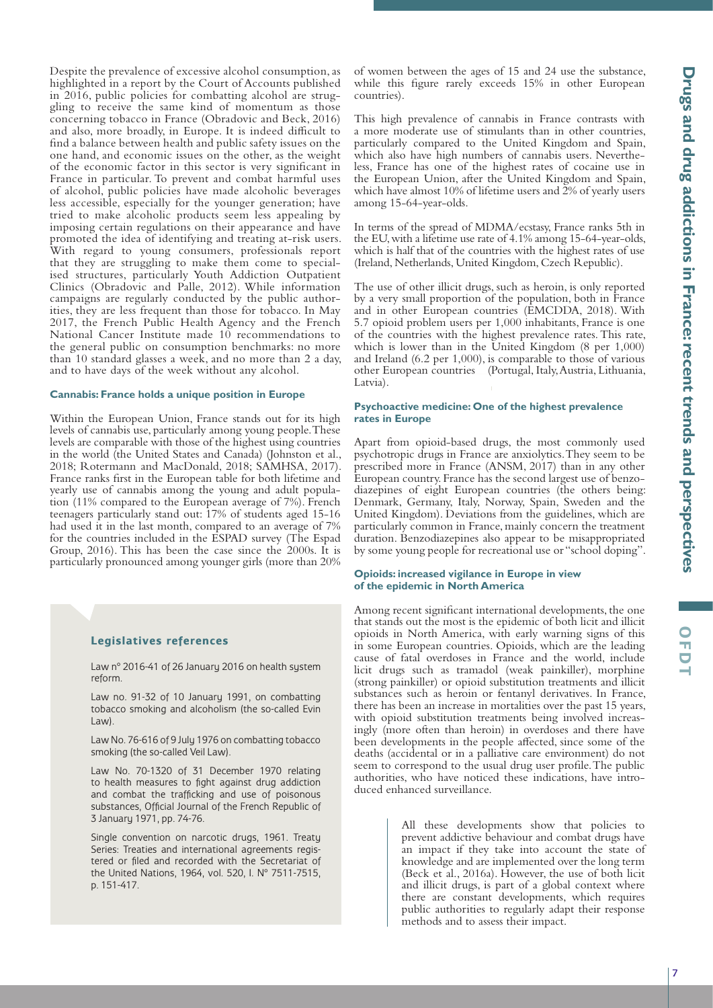Despite the prevalence of excessive alcohol consumption, as highlighted in a report by the Court of Accounts published in 2016, public policies for combatting alcohol are struggling to receive the same kind of momentum as those concerning tobacco in France (Obradovic and Beck, 2016) and also, more broadly, in Europe. It is indeed difficult to find a balance between health and public safety issues on the one hand, and economic issues on the other, as the weight of the economic factor in this sector is very significant in France in particular. To prevent and combat harmful uses of alcohol, public policies have made alcoholic beverages less accessible, especially for the younger generation; have tried to make alcoholic products seem less appealing by imposing certain regulations on their appearance and have promoted the idea of identifying and treating at-risk users. With regard to young consumers, professionals report that they are struggling to make them come to specialised structures, particularly Youth Addiction Outpatient Clinics (Obradovic and Palle, 2012). While information campaigns are regularly conducted by the public authorities, they are less frequent than those for tobacco. In May 2017, the French Public Health Agency and the French National Cancer Institute made 10 recommendations to the general public on consumption benchmarks: no more than 10 standard glasses a week, and no more than 2 a day, and to have days of the week without any alcohol.

#### **Cannabis: France holds a unique position in Europe**

Within the European Union, France stands out for its high levels of cannabis use, particularly among young people. These levels are comparable with those of the highest using countries in the world (the United States and Canada) (Johnston et al., 2018; Rotermann and MacDonald, 2018; SAMHSA, 2017). France ranks first in the European table for both lifetime and yearly use of cannabis among the young and adult population (11% compared to the European average of 7%). French teenagers particularly stand out: 17% of students aged 15-16 had used it in the last month, compared to an average of 7% for the countries included in the ESPAD survey (The Espad Group, 2016). This has been the case since the 2000s. It is particularly pronounced among younger girls (more than 20%

#### **Legislatives references**

Law n° 2016-41 of 26 January 2016 on health system reform.

Law no. 91-32 of 10 January 1991, on combatting tobacco smoking and alcoholism (the so-called Evin Law).

Law No. 76-616 of 9 July 1976 on combatting tobacco smoking (the so-called Veil Law).

Law No. 70-1320 of 31 December 1970 relating to health measures to fight against drug addiction and combat the trafficking and use of poisonous substances, Official Journal of the French Republic of 3 January 1971, pp. 74-76.

Single convention on narcotic drugs, 1961. Treaty Series: Treaties and international agreements registered or filed and recorded with the Secretariat of the United Nations, 1964, vol. 520, I. N° 7511-7515, p. 151-417.

of women between the ages of 15 and 24 use the substance, while this figure rarely exceeds 15% in other European countries).

This high prevalence of cannabis in France contrasts with a more moderate use of stimulants than in other countries, particularly compared to the United Kingdom and Spain, which also have high numbers of cannabis users. Nevertheless, France has one of the highest rates of cocaine use in the European Union, after the United Kingdom and Spain, which have almost 10% of lifetime users and 2% of yearly users among 15-64-year-olds.

In terms of the spread of MDMA/ecstasy, France ranks 5th in the EU, with a lifetime use rate of 4.1% among 15-64-year-olds, which is half that of the countries with the highest rates of use (Ireland, Netherlands, United Kingdom, Czech Republic).

The use of other illicit drugs, such as heroin, is only reported by a very small proportion of the population, both in France and in other European countries (EMCDDA, 2018). With 5.7 opioid problem users per 1,000 inhabitants, France is one of the countries with the highest prevalence rates. This rate, which is lower than in the United Kingdom (8 per 1,000) and Ireland (6.2 per 1,000), is comparable to those of various other European countries (Portugal, Italy, Austria, Lithuania, Latvia).

#### **Psychoactive medicine: One of the highest prevalence rates in Europe**

Apart from opioid-based drugs, the most commonly used psychotropic drugs in France are anxiolytics. They seem to be prescribed more in France (ANSM, 2017) than in any other European country. France has the second largest use of benzodiazepines of eight European countries (the others being: Denmark, Germany, Italy, Norway, Spain, Sweden and the United Kingdom). Deviations from the guidelines, which are particularly common in France, mainly concern the treatment duration. Benzodiazepines also appear to be misappropriated by some young people for recreational use or "school doping".

#### **Opioids: increased vigilance in Europe in view of the epidemic in North America**

Among recent significant international developments, the one that stands out the most is the epidemic of both licit and illicit opioids in North America, with early warning signs of this in some European countries. Opioids, which are the leading cause of fatal overdoses in France and the world, include licit drugs such as tramadol (weak painkiller), morphine (strong painkiller) or opioid substitution treatments and illicit substances such as heroin or fentanyl derivatives. In France, there has been an increase in mortalities over the past 15 years, with opioid substitution treatments being involved increasingly (more often than heroin) in overdoses and there have been developments in the people affected, since some of the deaths (accidental or in a palliative care environment) do not seem to correspond to the usual drug user profile. The public authorities, who have noticed these indications, have introduced enhanced surveillance.

> All these developments show that policies to prevent addictive behaviour and combat drugs have an impact if they take into account the state of knowledge and are implemented over the long term (Beck et al., 2016a). However, the use of both licit and illicit drugs, is part of a global context where there are constant developments, which requires public authorities to regularly adapt their response methods and to assess their impact.